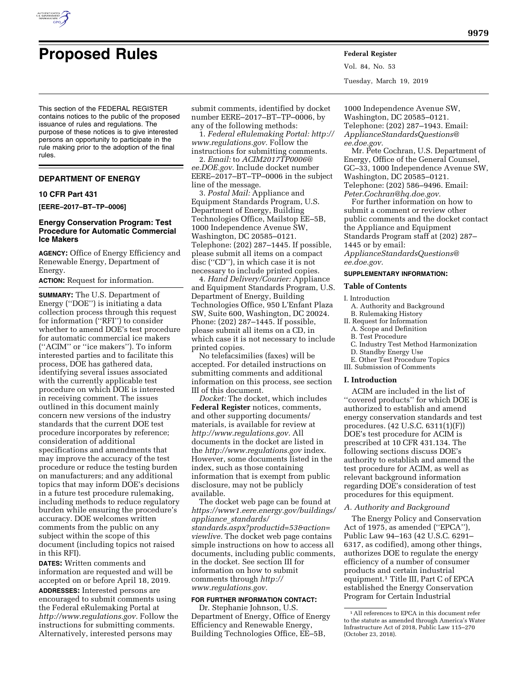

# **Proposed Rules Federal Register**

Vol. 84, No. 53 Tuesday, March 19, 2019

This section of the FEDERAL REGISTER contains notices to the public of the proposed issuance of rules and regulations. The purpose of these notices is to give interested persons an opportunity to participate in the rule making prior to the adoption of the final rules.

# **DEPARTMENT OF ENERGY**

# **10 CFR Part 431**

**[EERE–2017–BT–TP–0006]** 

# **Energy Conservation Program: Test Procedure for Automatic Commercial Ice Makers**

**AGENCY:** Office of Energy Efficiency and Renewable Energy, Department of Energy.

# **ACTION:** Request for information.

**SUMMARY:** The U.S. Department of Energy (''DOE'') is initiating a data collection process through this request for information (''RFI'') to consider whether to amend DOE's test procedure for automatic commercial ice makers (''ACIM'' or ''ice makers''). To inform interested parties and to facilitate this process, DOE has gathered data, identifying several issues associated with the currently applicable test procedure on which DOE is interested in receiving comment. The issues outlined in this document mainly concern new versions of the industry standards that the current DOE test procedure incorporates by reference; consideration of additional specifications and amendments that may improve the accuracy of the test procedure or reduce the testing burden on manufacturers; and any additional topics that may inform DOE's decisions in a future test procedure rulemaking, including methods to reduce regulatory burden while ensuring the procedure's accuracy. DOE welcomes written comments from the public on any subject within the scope of this document (including topics not raised in this RFI).

**DATES:** Written comments and information are requested and will be accepted on or before April 18, 2019.

**ADDRESSES:** Interested persons are encouraged to submit comments using the Federal eRulemaking Portal at *[http://www.regulations.gov.](http://www.regulations.gov)* Follow the instructions for submitting comments. Alternatively, interested persons may

submit comments, identified by docket number EERE–2017–BT–TP–0006, by any of the following methods:

1. *Federal eRulemaking Portal: [http://](http://www.regulations.gov)  [www.regulations.gov.](http://www.regulations.gov)* Follow the instructions for submitting comments.

2. *Email:* to *[ACIM2017TP0006@](mailto:ACIM2017TP0006@ee.DOE.gov) [ee.DOE.gov.](mailto:ACIM2017TP0006@ee.DOE.gov)* Include docket number EERE–2017–BT–TP–0006 in the subject line of the message.

3. *Postal Mail:* Appliance and Equipment Standards Program, U.S. Department of Energy, Building Technologies Office, Mailstop EE–5B, 1000 Independence Avenue SW, Washington, DC 20585–0121. Telephone: (202) 287–1445. If possible, please submit all items on a compact disc (''CD''), in which case it is not necessary to include printed copies.

4. *Hand Delivery/Courier:* Appliance and Equipment Standards Program, U.S. Department of Energy, Building Technologies Office, 950 L'Enfant Plaza SW, Suite 600, Washington, DC 20024. Phone: (202) 287–1445. If possible, please submit all items on a CD, in which case it is not necessary to include printed copies.

No telefacsimilies (faxes) will be accepted. For detailed instructions on submitting comments and additional information on this process, see section III of this document.

*Docket:* The docket, which includes **Federal Register** notices, comments, and other supporting documents/ materials, is available for review at *[http://www.regulations.gov.](http://www.regulations.gov)* All documents in the docket are listed in the *<http://www.regulations.gov>*index. However, some documents listed in the index, such as those containing information that is exempt from public disclosure, may not be publicly available.

The docket web page can be found at *[https://www1.eere.energy.gov/buildings/](https://www1.eere.energy.gov/buildings/appliance_standards/standards.aspx?productid=53&action=viewlive) appliance*\_*[standards/](https://www1.eere.energy.gov/buildings/appliance_standards/standards.aspx?productid=53&action=viewlive) [standards.aspx?productid=53&action=](https://www1.eere.energy.gov/buildings/appliance_standards/standards.aspx?productid=53&action=viewlive) [viewlive.](https://www1.eere.energy.gov/buildings/appliance_standards/standards.aspx?productid=53&action=viewlive)* The docket web page contains simple instructions on how to access all documents, including public comments, in the docket. See section III for information on how to submit comments through *[http://](http://www.regulations.gov) [www.regulations.gov.](http://www.regulations.gov)* 

# **FOR FURTHER INFORMATION CONTACT:**

Dr. Stephanie Johnson, U.S. Department of Energy, Office of Energy Efficiency and Renewable Energy, Building Technologies Office, EE–5B,

1000 Independence Avenue SW, Washington, DC 20585–0121. Telephone: (202) 287–1943. Email: *[ApplianceStandardsQuestions@](mailto:ApplianceStandardsQuestions@ee.doe.gov) [ee.doe.gov.](mailto:ApplianceStandardsQuestions@ee.doe.gov)* 

Mr. Pete Cochran, U.S. Department of Energy, Office of the General Counsel, GC–33, 1000 Independence Avenue SW, Washington, DC 20585–0121. Telephone: (202) 586–9496. Email: *[Peter.Cochran@hq.doe.gov.](mailto:Peter.Cochran@hq.doe.gov)* 

For further information on how to submit a comment or review other public comments and the docket contact the Appliance and Equipment Standards Program staff at (202) 287– 1445 or by email: *[ApplianceStandardsQuestions@](mailto:ApplianceStandardsQuestions@ee.doe.gov)*

*[ee.doe.gov.](mailto:ApplianceStandardsQuestions@ee.doe.gov)* 

# **SUPPLEMENTARY INFORMATION:**

## **Table of Contents**

# I. Introduction

- A. Authority and Background B. Rulemaking History
- II. Request for Information
	- A. Scope and Definition
- B. Test Procedure
- C. Industry Test Method Harmonization
- D. Standby Energy Use
- E. Other Test Procedure Topics
- III. Submission of Comments

# **I. Introduction**

ACIM are included in the list of ''covered products'' for which DOE is authorized to establish and amend energy conservation standards and test procedures. (42 U.S.C. 6311(1)(F)) DOE's test procedure for ACIM is prescribed at 10 CFR 431.134. The following sections discuss DOE's authority to establish and amend the test procedure for ACIM, as well as relevant background information regarding DOE's consideration of test procedures for this equipment.

#### *A. Authority and Background*

The Energy Policy and Conservation Act of 1975, as amended (''EPCA''), Public Law 94–163 (42 U.S.C. 6291– 6317, as codified), among other things, authorizes DOE to regulate the energy efficiency of a number of consumer products and certain industrial equipment.1 Title III, Part C of EPCA established the Energy Conservation Program for Certain Industrial

<sup>1</sup>All references to EPCA in this document refer to the statute as amended through America's Water Infrastructure Act of 2018, Public Law 115–270 (October 23, 2018).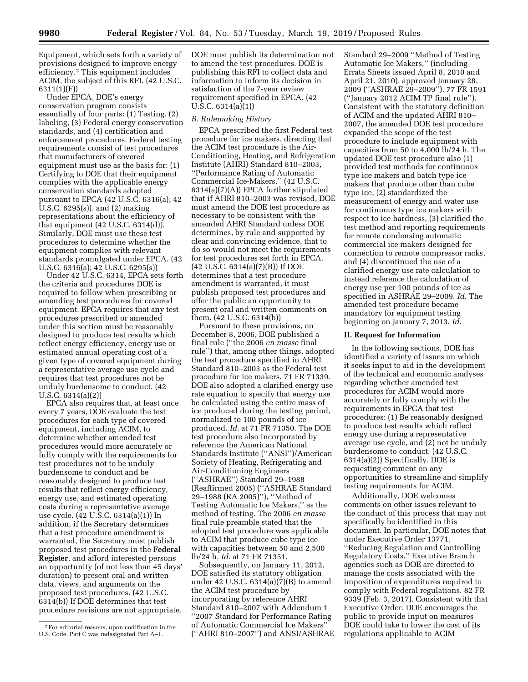Equipment, which sets forth a variety of provisions designed to improve energy efficiency.2 This equipment includes ACIM, the subject of this RFI. (42 U.S.C. 6311(1)(F))

Under EPCA, DOE's energy conservation program consists essentially of four parts: (1) Testing, (2) labeling, (3) Federal energy conservation standards, and (4) certification and enforcement procedures. Federal testing requirements consist of test procedures that manufacturers of covered equipment must use as the basis for: (1) Certifying to DOE that their equipment complies with the applicable energy conservation standards adopted pursuant to EPCA (42 U.S.C. 6316(a); 42 U.S.C. 6295(s)), and (2) making representations about the efficiency of that equipment (42 U.S.C. 6314(d)). Similarly, DOE must use these test procedures to determine whether the equipment complies with relevant standards promulgated under EPCA. (42 U.S.C. 6316(a); 42 U.S.C. 6295(s))

Under 42 U.S.C. 6314, EPCA sets forth the criteria and procedures DOE is required to follow when prescribing or amending test procedures for covered equipment. EPCA requires that any test procedures prescribed or amended under this section must be reasonably designed to produce test results which reflect energy efficiency, energy use or estimated annual operating cost of a given type of covered equipment during a representative average use cycle and requires that test procedures not be unduly burdensome to conduct. (42 U.S.C. 6314(a)(2))

EPCA also requires that, at least once every 7 years, DOE evaluate the test procedures for each type of covered equipment, including ACIM, to determine whether amended test procedures would more accurately or fully comply with the requirements for test procedures not to be unduly burdensome to conduct and be reasonably designed to produce test results that reflect energy efficiency, energy use, and estimated operating costs during a representative average use cycle. (42 U.S.C. 6314(a)(1)) In addition, if the Secretary determines that a test procedure amendment is warranted, the Secretary must publish proposed test procedures in the **Federal Register**, and afford interested persons an opportunity (of not less than 45 days' duration) to present oral and written data, views, and arguments on the proposed test procedures. (42 U.S.C. 6314(b)) If DOE determines that test procedure revisions are not appropriate, DOE must publish its determination not to amend the test procedures. DOE is publishing this RFI to collect data and information to inform its decision in satisfaction of the 7-year review requirement specified in EPCA. (42 U.S.C. 6314(a)(1))

#### *B. Rulemaking History*

EPCA prescribed the first Federal test procedure for ice makers, directing that the ACIM test procedure is the Air-Conditioning, Heating, and Refrigeration Institute (AHRI) Standard 810–2003, ''Performance Rating of Automatic Commercial Ice-Makers.'' (42 U.S.C. 6314(a)(7)(A)) EPCA further stipulated that if AHRI 810–2003 was revised, DOE must amend the DOE test procedure as necessary to be consistent with the amended AHRI Standard unless DOE determines, by rule and supported by clear and convincing evidence, that to do so would not meet the requirements for test procedures set forth in EPCA. (42 U.S.C. 6314(a)(7)(B)) If DOE determines that a test procedure amendment is warranted, it must publish proposed test procedures and offer the public an opportunity to present oral and written comments on them. (42 U.S.C. 6314(b))

Pursuant to these provisions, on December 8, 2006, DOE published a final rule (''the 2006 *en masse* final rule'') that, among other things, adopted the test procedure specified in AHRI Standard 810–2003 as the Federal test procedure for ice makers. 71 FR 71339. DOE also adopted a clarified energy use rate equation to specify that energy use be calculated using the entire mass of ice produced during the testing period, normalized to 100 pounds of ice produced. *Id.* at 71 FR 71350. The DOE test procedure also incorporated by reference the American National Standards Institute (''ANSI'')/American Society of Heating, Refrigerating and Air-Conditioning Engineers (''ASHRAE'') Standard 29–1988 (Reaffirmed 2005) (''ASHRAE Standard 29–1988 (RA 2005)''), ''Method of Testing Automatic Ice Makers,'' as the method of testing. The 2006 *en masse*  final rule preamble stated that the adopted test procedure was applicable to ACIM that produce cube type ice with capacities between 50 and 2,500 lb/24 h. *Id.* at 71 FR 71351.

Subsequently, on January 11, 2012, DOE satisfied its statutory obligation under 42 U.S.C. 6314(a)(7)(B) to amend the ACIM test procedure by incorporating by reference AHRI Standard 810–2007 with Addendum 1 ''2007 Standard for Performance Rating of Automatic Commercial Ice Makers'' (''AHRI 810–2007'') and ANSI/ASHRAE

Standard 29–2009 ''Method of Testing Automatic Ice Makers,'' (including Errata Sheets issued April 8, 2010 and April 21, 2010), approved January 28, 2009 (''ASHRAE 29–2009''). 77 FR 1591 (''January 2012 ACIM TP final rule''). Consistent with the statutory definition of ACIM and the updated AHRI 810– 2007, the amended DOE test procedure expanded the scope of the test procedure to include equipment with capacities from 50 to 4,000 lb/24 h. The updated DOE test procedure also (1) provided test methods for continuous type ice makers and batch type ice makers that produce other than cube type ice, (2) standardized the measurement of energy and water use for continuous type ice makers with respect to ice hardness, (3) clarified the test method and reporting requirements for remote condensing automatic commercial ice makers designed for connection to remote compressor racks, and (4) discontinued the use of a clarified energy use rate calculation to instead reference the calculation of energy use per 100 pounds of ice as specified in ASHRAE 29–2009. *Id.* The amended test procedure became mandatory for equipment testing beginning on January 7, 2013. *Id.* 

#### **II. Request for Information**

In the following sections, DOE has identified a variety of issues on which it seeks input to aid in the development of the technical and economic analyses regarding whether amended test procedures for ACIM would more accurately or fully comply with the requirements in EPCA that test procedures: (1) Be reasonably designed to produce test results which reflect energy use during a representative average use cycle, and (2) not be unduly burdensome to conduct. (42 U.S.C. 6314(a)(2)) Specifically, DOE is requesting comment on any opportunities to streamline and simplify testing requirements for ACIM.

Additionally, DOE welcomes comments on other issues relevant to the conduct of this process that may not specifically be identified in this document. In particular, DOE notes that under Executive Order 13771, ''Reducing Regulation and Controlling Regulatory Costs,'' Executive Branch agencies such as DOE are directed to manage the costs associated with the imposition of expenditures required to comply with Federal regulations. 82 FR 9339 (Feb. 3, 2017). Consistent with that Executive Order, DOE encourages the public to provide input on measures DOE could take to lower the cost of its regulations applicable to ACIM

<sup>2</sup>For editorial reasons, upon codification in the U.S. Code, Part C was redesignated Part A–1.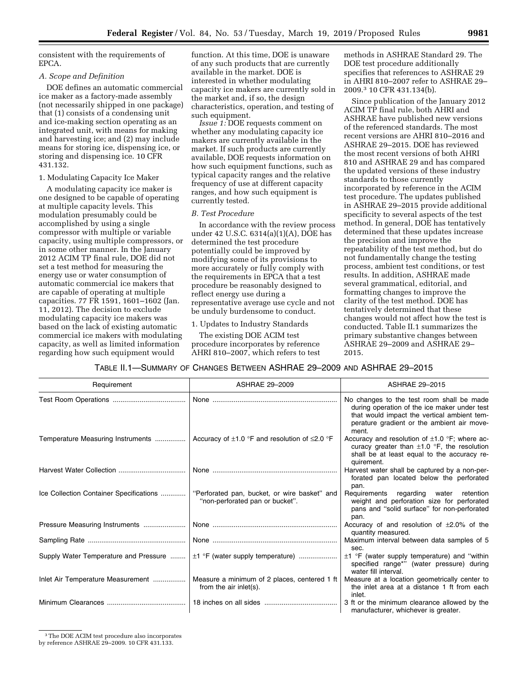consistent with the requirements of EPCA.

#### *A. Scope and Definition*

DOE defines an automatic commercial ice maker as a factory-made assembly (not necessarily shipped in one package) that (1) consists of a condensing unit and ice-making section operating as an integrated unit, with means for making and harvesting ice; and (2) may include means for storing ice, dispensing ice, or storing and dispensing ice. 10 CFR 431.132.

#### 1. Modulating Capacity Ice Maker

A modulating capacity ice maker is one designed to be capable of operating at multiple capacity levels. This modulation presumably could be accomplished by using a single compressor with multiple or variable capacity, using multiple compressors, or in some other manner. In the January 2012 ACIM TP final rule, DOE did not set a test method for measuring the energy use or water consumption of automatic commercial ice makers that are capable of operating at multiple capacities. 77 FR 1591, 1601–1602 (Jan. 11, 2012). The decision to exclude modulating capacity ice makers was based on the lack of existing automatic commercial ice makers with modulating capacity, as well as limited information regarding how such equipment would

function. At this time, DOE is unaware of any such products that are currently available in the market. DOE is interested in whether modulating capacity ice makers are currently sold in the market and, if so, the design characteristics, operation, and testing of such equipment.

*Issue 1:* DOE requests comment on whether any modulating capacity ice makers are currently available in the market. If such products are currently available, DOE requests information on how such equipment functions, such as typical capacity ranges and the relative frequency of use at different capacity ranges, and how such equipment is currently tested.

#### *B. Test Procedure*

In accordance with the review process under 42 U.S.C. 6314(a)(1)(A), DOE has determined the test procedure potentially could be improved by modifying some of its provisions to more accurately or fully comply with the requirements in EPCA that a test procedure be reasonably designed to reflect energy use during a representative average use cycle and not be unduly burdensome to conduct.

#### 1. Updates to Industry Standards

The existing DOE ACIM test procedure incorporates by reference AHRI 810–2007, which refers to test

methods in ASHRAE Standard 29. The DOE test procedure additionally specifies that references to ASHRAE 29 in AHRI 810–2007 refer to ASHRAE 29– 2009.3 10 CFR 431.134(b).

Since publication of the January 2012 ACIM TP final rule, both AHRI and ASHRAE have published new versions of the referenced standards. The most recent versions are AHRI 810–2016 and ASHRAE 29–2015. DOE has reviewed the most recent versions of both AHRI 810 and ASHRAE 29 and has compared the updated versions of these industry standards to those currently incorporated by reference in the ACIM test procedure. The updates published in ASHRAE 29–2015 provide additional specificity to several aspects of the test method. In general, DOE has tentatively determined that these updates increase the precision and improve the repeatability of the test method, but do not fundamentally change the testing process, ambient test conditions, or test results. In addition, ASHRAE made several grammatical, editorial, and formatting changes to improve the clarity of the test method. DOE has tentatively determined that these changes would not affect how the test is conducted. Table II.1 summarizes the primary substantive changes between ASHRAE 29–2009 and ASHRAE 29– 2015.

# TABLE II.1—SUMMARY OF CHANGES BETWEEN ASHRAE 29–2009 AND ASHRAE 29–2015

| Requirement                             | ASHRAE 29-2009                                                                  | <b>ASHRAE 29-2015</b>                                                                                                                                                                           |
|-----------------------------------------|---------------------------------------------------------------------------------|-------------------------------------------------------------------------------------------------------------------------------------------------------------------------------------------------|
|                                         |                                                                                 | No changes to the test room shall be made<br>during operation of the ice maker under test<br>that would impact the vertical ambient tem-<br>perature gradient or the ambient air move-<br>ment. |
| Temperature Measuring Instruments       | Accuracy of $\pm$ 1.0 °F and resolution of $\leq$ 2.0 °F                        | Accuracy and resolution of $\pm 1.0$ °F; where ac-<br>curacy greater than $\pm 1.0$ °F, the resolution<br>shall be at least equal to the accuracy re-<br>quirement.                             |
|                                         |                                                                                 | Harvest water shall be captured by a non-per-<br>forated pan located below the perforated<br>pan.                                                                                               |
| Ice Collection Container Specifications | "Perforated pan, bucket, or wire basket" and<br>"non-perforated pan or bucket". | Requirements regarding water retention<br>weight and perforation size for perforated<br>pans and "solid surface" for non-perforated<br>pan.                                                     |
|                                         |                                                                                 | Accuracy of and resolution of $\pm 2.0$ % of the<br>quantity measured.                                                                                                                          |
|                                         |                                                                                 | Maximum interval between data samples of 5<br>sec.                                                                                                                                              |
| Supply Water Temperature and Pressure   | $\pm 1$ °F (water supply temperature)                                           | $\pm 1$ °F (water supply temperature) and "within<br>specified range*" (water pressure) during<br>water fill interval.                                                                          |
| Inlet Air Temperature Measurement       | Measure a minimum of 2 places, centered 1 ft<br>from the air inlet(s).          | Measure at a location geometrically center to<br>the inlet area at a distance 1 ft from each<br>inlet.                                                                                          |
|                                         |                                                                                 | 3 ft or the minimum clearance allowed by the<br>manufacturer, whichever is greater.                                                                                                             |

3The DOE ACIM test procedure also incorporates

by reference ASHRAE 29–2009. 10 CFR 431.133.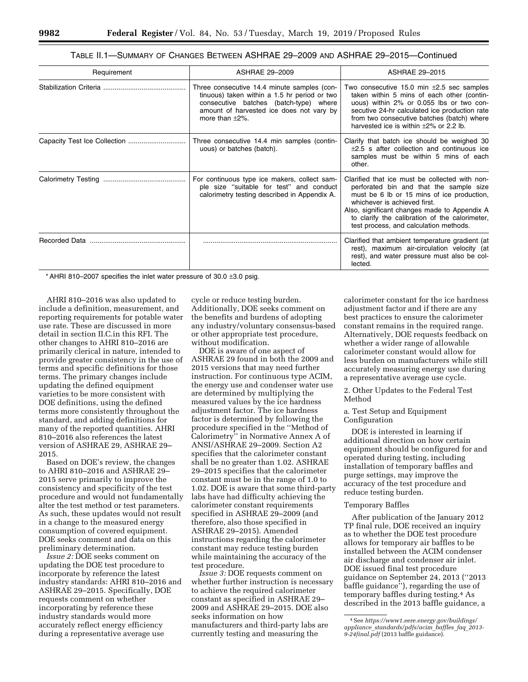| TABLE II.1—SUMMARY OF CHANGES BETWEEN ASHRAE 29–2009 AND ASHRAE 29–2015—Continued |  |
|-----------------------------------------------------------------------------------|--|
|-----------------------------------------------------------------------------------|--|

| Requirement   | ASHRAE 29-2009                                                                                                                                                                                             | ASHRAE 29-2015                                                                                                                                                                                                                                                                                                      |  |
|---------------|------------------------------------------------------------------------------------------------------------------------------------------------------------------------------------------------------------|---------------------------------------------------------------------------------------------------------------------------------------------------------------------------------------------------------------------------------------------------------------------------------------------------------------------|--|
|               | Three consecutive 14.4 minute samples (con-<br>tinuous) taken within a 1.5 hr period or two<br>consecutive batches (batch-type) where<br>amount of harvested ice does not vary by<br>more than $\pm 2\%$ . | Two consecutive 15.0 min $\pm 2.5$ sec samples<br>taken within 5 mins of each other (contin-<br>uous) within 2% or 0.055 lbs or two con-<br>secutive 24-hr calculated ice production rate<br>from two consecutive batches (batch) where<br>harvested ice is within $\pm 2\%$ or 2.2 lb.                             |  |
|               | Three consecutive 14.4 min samples (contin-<br>uous) or batches (batch).                                                                                                                                   | Clarify that batch ice should be weighed 30<br>$\pm 2.5$ s after collection and continuous ice<br>samples must be within 5 mins of each<br>other.                                                                                                                                                                   |  |
|               | For continuous type ice makers, collect sam-<br>ple size "suitable for test" and conduct<br>calorimetry testing described in Appendix A.                                                                   | Clarified that ice must be collected with non-<br>perforated bin and that the sample size<br>must be 6 lb or 15 mins of ice production.<br>whichever is achieved first.<br>Also, significant changes made to Appendix A<br>to clarify the calibration of the calorimeter,<br>test process, and calculation methods. |  |
| Recorded Data |                                                                                                                                                                                                            | Clarified that ambient temperature gradient (at<br>rest), maximum air-circulation velocity (at<br>rest), and water pressure must also be col-<br>lected.                                                                                                                                                            |  |

\* AHRI 810–2007 specifies the inlet water pressure of 30.0  $\pm$ 3.0 psig.

AHRI 810–2016 was also updated to include a definition, measurement, and reporting requirements for potable water use rate. These are discussed in more detail in section II.C.in this RFI. The other changes to AHRI 810–2016 are primarily clerical in nature, intended to provide greater consistency in the use of terms and specific definitions for those terms. The primary changes include updating the defined equipment varieties to be more consistent with DOE definitions, using the defined terms more consistently throughout the standard, and adding definitions for many of the reported quantities. AHRI 810–2016 also references the latest version of ASHRAE 29, ASHRAE 29– 2015.

Based on DOE's review, the changes to AHRI 810–2016 and ASHRAE 29– 2015 serve primarily to improve the consistency and specificity of the test procedure and would not fundamentally alter the test method or test parameters. As such, these updates would not result in a change to the measured energy consumption of covered equipment. DOE seeks comment and data on this preliminary determination.

*Issue 2:* DOE seeks comment on updating the DOE test procedure to incorporate by reference the latest industry standards: AHRI 810–2016 and ASHRAE 29–2015. Specifically, DOE requests comment on whether incorporating by reference these industry standards would more accurately reflect energy efficiency during a representative average use

cycle or reduce testing burden. Additionally, DOE seeks comment on the benefits and burdens of adopting any industry/voluntary consensus-based or other appropriate test procedure, without modification.

DOE is aware of one aspect of ASHRAE 29 found in both the 2009 and 2015 versions that may need further instruction. For continuous type ACIM, the energy use and condenser water use are determined by multiplying the measured values by the ice hardness adjustment factor. The ice hardness factor is determined by following the procedure specified in the ''Method of Calorimetry'' in Normative Annex A of ANSI/ASHRAE 29–2009. Section A2 specifies that the calorimeter constant shall be no greater than 1.02. ASHRAE 29–2015 specifies that the calorimeter constant must be in the range of 1.0 to 1.02. DOE is aware that some third-party labs have had difficulty achieving the calorimeter constant requirements specified in ASHRAE 29–2009 (and therefore, also those specified in ASHRAE 29–2015). Amended instructions regarding the calorimeter constant may reduce testing burden while maintaining the accuracy of the test procedure.

*Issue 3:* DOE requests comment on whether further instruction is necessary to achieve the required calorimeter constant as specified in ASHRAE 29– 2009 and ASHRAE 29–2015. DOE also seeks information on how manufacturers and third-party labs are currently testing and measuring the

calorimeter constant for the ice hardness adjustment factor and if there are any best practices to ensure the calorimeter constant remains in the required range. Alternatively, DOE requests feedback on whether a wider range of allowable calorimeter constant would allow for less burden on manufacturers while still accurately measuring energy use during a representative average use cycle.

2. Other Updates to the Federal Test Method

## a. Test Setup and Equipment Configuration

DOE is interested in learning if additional direction on how certain equipment should be configured for and operated during testing, including installation of temporary baffles and purge settings, may improve the accuracy of the test procedure and reduce testing burden.

## Temporary Baffles

After publication of the January 2012 TP final rule, DOE received an inquiry as to whether the DOE test procedure allows for temporary air baffles to be installed between the ACIM condenser air discharge and condenser air inlet. DOE issued final test procedure guidance on September 24, 2013 (''2013 baffle guidance''), regarding the use of temporary baffles during testing.4 As described in the 2013 baffle guidance, a

<sup>4</sup>See *[https://www1.eere.energy.gov/buildings/](https://www1.eere.energy.gov/buildings/appliance_standards/pdfs/acim_baffles_faq_2013-9-24final.pdf)  appliance*\_*[standards/pdfs/acim](https://www1.eere.energy.gov/buildings/appliance_standards/pdfs/acim_baffles_faq_2013-9-24final.pdf)*\_*baffles*\_*faq*\_*2013- [9-24final.pdf](https://www1.eere.energy.gov/buildings/appliance_standards/pdfs/acim_baffles_faq_2013-9-24final.pdf)* (2013 baffle guidance).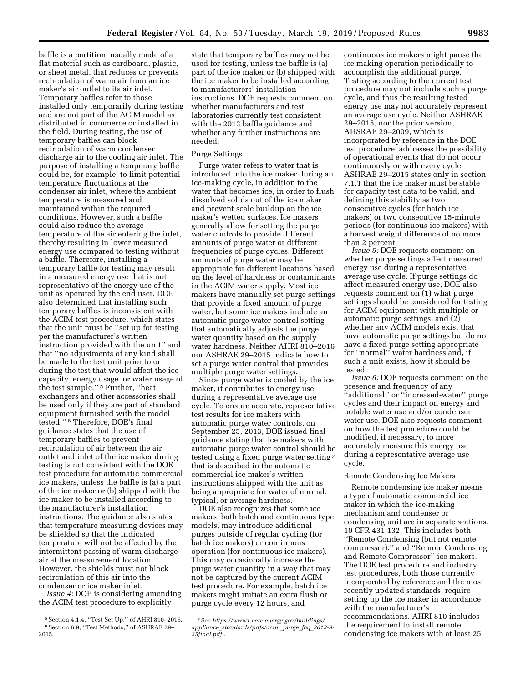baffle is a partition, usually made of a flat material such as cardboard, plastic, or sheet metal, that reduces or prevents recirculation of warm air from an ice maker's air outlet to its air inlet. Temporary baffles refer to those installed only temporarily during testing and are not part of the ACIM model as distributed in commerce or installed in the field. During testing, the use of temporary baffles can block recirculation of warm condenser discharge air to the cooling air inlet. The purpose of installing a temporary baffle could be, for example, to limit potential temperature fluctuations at the condenser air inlet, where the ambient temperature is measured and maintained within the required conditions. However, such a baffle could also reduce the average temperature of the air entering the inlet, thereby resulting in lower measured energy use compared to testing without a baffle. Therefore, installing a temporary baffle for testing may result in a measured energy use that is not representative of the energy use of the unit as operated by the end user. DOE also determined that installing such temporary baffles is inconsistent with the ACIM test procedure, which states that the unit must be ''set up for testing per the manufacturer's written instruction provided with the unit'' and that ''no adjustments of any kind shall be made to the test unit prior to or during the test that would affect the ice capacity, energy usage, or water usage of the test sample.'' 5 Further, ''heat exchangers and other accessories shall be used only if they are part of standard equipment furnished with the model tested.'' 6 Therefore, DOE's final guidance states that the use of temporary baffles to prevent recirculation of air between the air outlet and inlet of the ice maker during testing is not consistent with the DOE test procedure for automatic commercial ice makers, unless the baffle is (a) a part of the ice maker or (b) shipped with the ice maker to be installed according to the manufacturer's installation instructions. The guidance also states that temperature measuring devices may be shielded so that the indicated temperature will not be affected by the intermittent passing of warm discharge air at the measurement location. However, the shields must not block recirculation of this air into the condenser or ice maker inlet.

*Issue 4:* DOE is considering amending the ACIM test procedure to explicitly

state that temporary baffles may not be used for testing, unless the baffle is (a) part of the ice maker or (b) shipped with the ice maker to be installed according to manufacturers' installation instructions. DOE requests comment on whether manufacturers and test laboratories currently test consistent with the 2013 baffle guidance and whether any further instructions are needed.

#### Purge Settings

Purge water refers to water that is introduced into the ice maker during an ice-making cycle, in addition to the water that becomes ice, in order to flush dissolved solids out of the ice maker and prevent scale buildup on the ice maker's wetted surfaces. Ice makers generally allow for setting the purge water controls to provide different amounts of purge water or different frequencies of purge cycles. Different amounts of purge water may be appropriate for different locations based on the level of hardness or contaminants in the ACIM water supply. Most ice makers have manually set purge settings that provide a fixed amount of purge water, but some ice makers include an automatic purge water control setting that automatically adjusts the purge water quantity based on the supply water hardness. Neither AHRI 810–2016 nor ASHRAE 29–2015 indicate how to set a purge water control that provides multiple purge water settings.

Since purge water is cooled by the ice maker, it contributes to energy use during a representative average use cycle. To ensure accurate, representative test results for ice makers with automatic purge water controls, on September 25, 2013, DOE issued final guidance stating that ice makers with automatic purge water control should be tested using a fixed purge water setting 7 that is described in the automatic commercial ice maker's written instructions shipped with the unit as being appropriate for water of normal, typical, or average hardness.

DOE also recognizes that some ice makers, both batch and continuous type models, may introduce additional purges outside of regular cycling (for batch ice makers) or continuous operation (for continuous ice makers). This may occasionally increase the purge water quantity in a way that may not be captured by the current ACIM test procedure. For example, batch ice makers might initiate an extra flush or purge cycle every 12 hours, and

continuous ice makers might pause the ice making operation periodically to accomplish the additional purge. Testing according to the current test procedure may not include such a purge cycle, and thus the resulting tested energy use may not accurately represent an average use cycle. Neither ASHRAE 29–2015, nor the prior version, AHSRAE 29–2009, which is incorporated by reference in the DOE test procedure, addresses the possibility of operational events that do not occur continuously or with every cycle. ASHRAE 29–2015 states only in section 7.1.1 that the ice maker must be stable for capacity test data to be valid, and defining this stability as two consecutive cycles (for batch ice makers) or two consecutive 15-minute periods (for continuous ice makers) with a harvest weight difference of no more than 2 percent.

*Issue 5:* DOE requests comment on whether purge settings affect measured energy use during a representative average use cycle. If purge settings do affect measured energy use, DOE also requests comment on (1) what purge settings should be considered for testing for ACIM equipment with multiple or automatic purge settings, and (2) whether any ACIM models exist that have automatic purge settings but do not have a fixed purge setting appropriate for ''normal'' water hardness and, if such a unit exists, how it should be tested.

*Issue 6:* DOE requests comment on the presence and frequency of any ''additional'' or ''increased-water'' purge cycles and their impact on energy and potable water use and/or condenser water use. DOE also requests comment on how the test procedure could be modified, if necessary, to more accurately measure this energy use during a representative average use cycle.

## Remote Condensing Ice Makers

Remote condensing ice maker means a type of automatic commercial ice maker in which the ice-making mechanism and condenser or condensing unit are in separate sections. 10 CFR 431.132. This includes both ''Remote Condensing (but not remote compressor),'' and ''Remote Condensing and Remote Compressor'' ice makers. The DOE test procedure and industry test procedures, both those currently incorporated by reference and the most recently updated standards, require setting up the ice maker in accordance with the manufacturer's recommendations. AHRI 810 includes the requirement to install remote condensing ice makers with at least 25

<sup>5</sup>Section 4.1.4, ''Test Set Up,'' of AHRI 810–2016. 6Section 6.9, ''Test Methods,'' of ASHRAE 29– 2015.

<sup>7</sup>See *[https://www1.eere.energy.gov/buildings/](https://www1.eere.energy.gov/buildings/appliance_standards/pdfs/acim_purge_faq_2013-9-25final.pdf)  appliance*\_*[standards/pdfs/acim](https://www1.eere.energy.gov/buildings/appliance_standards/pdfs/acim_purge_faq_2013-9-25final.pdf)*\_*purge*\_*faq*\_*2013-9- [25final.pdf](https://www1.eere.energy.gov/buildings/appliance_standards/pdfs/acim_purge_faq_2013-9-25final.pdf)* .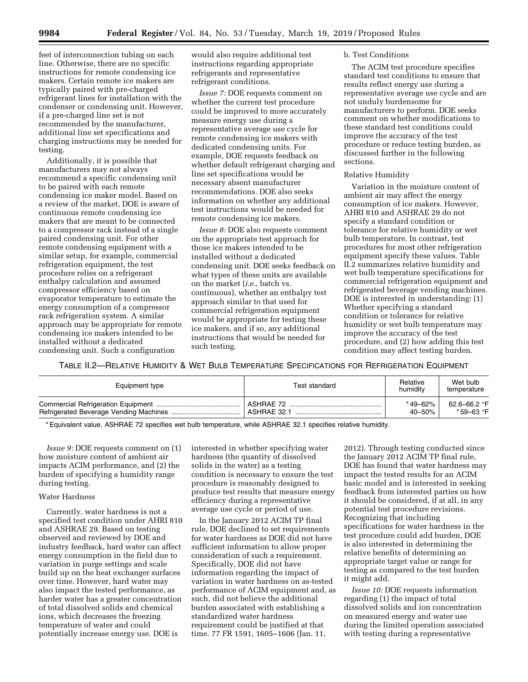feet of interconnection tubing on each line. Otherwise, there are no specific instructions for remote condensing ice makers. Certain remote ice makers are typically paired with pre-charged refrigerant lines for installation with the condenser or condensing unit. However, if a pre-charged line set is not recommended by the manufacturer, additional line set specifications and charging instructions may be needed for testing.

Additionally, it is possible that manufacturers may not always recommend a specific condensing unit to be paired with each remote condensing ice maker model. Based on a review of the market, DOE is aware of continuous remote condensing ice makers that are meant to be connected to a compressor rack instead of a single paired condensing unit. For other remote condensing equipment with a similar setup, for example, commercial refrigeration equipment, the test procedure relies on a refrigerant enthalpy calculation and assumed compressor efficiency based on evaporator temperature to estimate the energy consumption of a compressor rack refrigeration system. A similar approach may be appropriate for remote condensing ice makers intended to be installed without a dedicated condensing unit. Such a configuration

would also require additional test instructions regarding appropriate refrigerants and representative refrigerant conditions.

*Issue 7:* DOE requests comment on whether the current test procedure could be improved to more accurately measure energy use during a representative average use cycle for remote condensing ice makers with dedicated condensing units. For example, DOE requests feedback on whether default refrigerant charging and line set specifications would be necessary absent manufacturer recommendations. DOE also seeks information on whether any additional test instructions would be needed for remote condensing ice makers.

*Issue 8:* DOE also requests comment on the appropriate test approach for those ice makers intended to be installed without a dedicated condensing unit. DOE seeks feedback on what types of these units are available on the market (*i.e.,* batch vs. continuous), whether an enthalpy test approach similar to that used for commercial refrigeration equipment would be appropriate for testing these ice makers, and if so, any additional instructions that would be needed for such testing.

# b. Test Conditions

The ACIM test procedure specifies standard test conditions to ensure that results reflect energy use during a representative average use cycle and are not unduly burdensome for manufacturers to perform. DOE seeks comment on whether modifications to these standard test conditions could improve the accuracy of the test procedure or reduce testing burden, as discussed further in the following sections.

## Relative Humidity

Variation in the moisture content of ambient air may affect the energy consumption of ice makers. However, AHRI 810 and ASHRAE 29 do not specify a standard condition or tolerance for relative humidity or wet bulb temperature. In contrast, test procedures for most other refrigeration equipment specify these values. Table II.2 summarizes relative humidity and wet bulb temperature specifications for commercial refrigeration equipment and refrigerated beverage vending machines. DOE is interested in understanding: (1) Whether specifying a standard condition or tolerance for relative humidity or wet bulb temperature may improve the accuracy of the test procedure, and (2) how adding this test condition may affect testing burden.

TABLE II.2—RELATIVE HUMIDITY & WET BULB TEMPERATURE SPECIFICATIONS FOR REFRIGERATION EQUIPMENT

| Equipment type | Test standard | Relative<br>humidity | Wet bulb<br>temperature |
|----------------|---------------|----------------------|-------------------------|
|                | ASHRAF 72     | * 49–62%             | 62.6–66.2 °F            |
|                | ASHRAE 32.1   | $40 - 50%$           | *59–63 °F               |

\* Equivalent value. ASHRAE 72 specifies wet bulb temperature, while ASHRAE 32.1 specifies relative humidity.

*Issue 9:* DOE requests comment on  $(1)$ how moisture content of ambient air impacts ACIM performance, and (2) the burden of specifying a humidity range during testing.

# Water Hardness

Currently, water hardness is not a specified test condition under AHRI 810 and ASHRAE 29. Based on testing observed and reviewed by DOE and industry feedback, hard water can affect energy consumption in the field due to variation in purge settings and scale build up on the heat exchanger surfaces over time. However, hard water may also impact the tested performance, as harder water has a greater concentration of total dissolved solids and chemical ions, which decreases the freezing temperature of water and could potentially increase energy use. DOE is

interested in whether specifying water hardness (the quantity of dissolved solids in the water) as a testing condition is necessary to ensure the test procedure is reasonably designed to produce test results that measure energy efficiency during a representative average use cycle or period of use.

In the January 2012 ACIM TP final rule, DOE declined to set requirements for water hardness as DOE did not have sufficient information to allow proper consideration of such a requirement. Specifically, DOE did not have information regarding the impact of variation in water hardness on as-tested performance of ACIM equipment and, as such, did not believe the additional burden associated with establishing a standardized water hardness requirement could be justified at that time. 77 FR 1591, 1605–1606 (Jan. 11,

2012). Through testing conducted since the January 2012 ACIM TP final rule, DOE has found that water hardness may impact the tested results for an ACIM basic model and is interested in seeking feedback from interested parties on how it should be considered, if at all, in any potential test procedure revisions. Recognizing that including specifications for water hardness in the test procedure could add burden, DOE is also interested in determining the relative benefits of determining an appropriate target value or range for testing as compared to the test burden it might add.

*Issue 10:* DOE requests information regarding (1) the impact of total dissolved solids and ion concentration on measured energy and water use during the limited operation associated with testing during a representative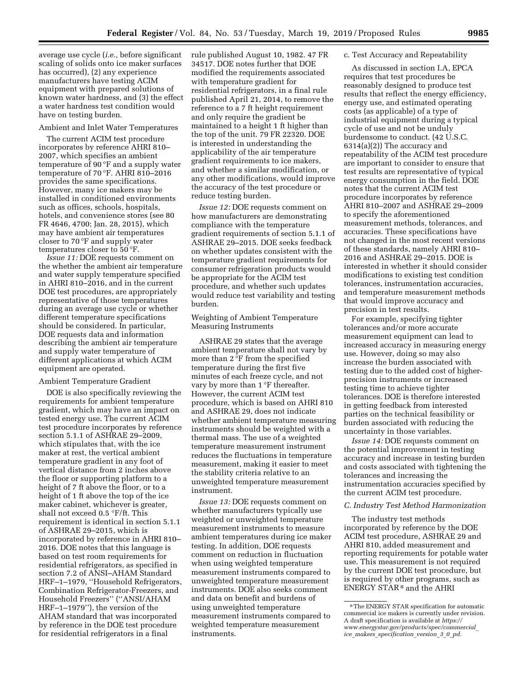average use cycle (*i.e.,* before significant scaling of solids onto ice maker surfaces has occurred), (2) any experience manufacturers have testing ACIM equipment with prepared solutions of known water hardness, and (3) the effect a water hardness test condition would have on testing burden.

## Ambient and Inlet Water Temperatures

The current ACIM test procedure incorporates by reference AHRI 810– 2007, which specifies an ambient temperature of 90 °F and a supply water temperature of 70 °F. AHRI 810–2016 provides the same specifications. However, many ice makers may be installed in conditioned environments such as offices, schools, hospitals, hotels, and convenience stores (see 80 FR 4646, 4700; Jan. 28, 2015), which may have ambient air temperatures closer to 70 °F and supply water temperatures closer to 50 °F.

*Issue 11:* DOE requests comment on the whether the ambient air temperature and water supply temperature specified in AHRI 810–2016, and in the current DOE test procedures, are appropriately representative of those temperatures during an average use cycle or whether different temperature specifications should be considered. In particular, DOE requests data and information describing the ambient air temperature and supply water temperature of different applications at which ACIM equipment are operated.

#### Ambient Temperature Gradient

DOE is also specifically reviewing the requirements for ambient temperature gradient, which may have an impact on tested energy use. The current ACIM test procedure incorporates by reference section 5.1.1 of ASHRAE 29–2009, which stipulates that, with the ice maker at rest, the vertical ambient temperature gradient in any foot of vertical distance from 2 inches above the floor or supporting platform to a height of 7 ft above the floor, or to a height of 1 ft above the top of the ice maker cabinet, whichever is greater, shall not exceed 0.5 °F/ft. This requirement is identical in section 5.1.1 of ASHRAE 29–2015, which is incorporated by reference in AHRI 810– 2016. DOE notes that this language is based on test room requirements for residential refrigerators, as specified in section 7.2 of ANSI–AHAM Standard HRF–1–1979, ''Household Refrigerators, Combination Refrigerator-Freezers, and Household Freezers'' (''ANSI/AHAM HRF–1–1979''), the version of the AHAM standard that was incorporated by reference in the DOE test procedure for residential refrigerators in a final

rule published August 10, 1982. 47 FR 34517. DOE notes further that DOE modified the requirements associated with temperature gradient for residential refrigerators, in a final rule published April 21, 2014, to remove the reference to a 7 ft height requirement and only require the gradient be maintained to a height 1 ft higher than the top of the unit. 79 FR 22320. DOE is interested in understanding the applicability of the air temperature gradient requirements to ice makers, and whether a similar modification, or any other modifications, would improve the accuracy of the test procedure or reduce testing burden.

*Issue 12:* DOE requests comment on how manufacturers are demonstrating compliance with the temperature gradient requirements of section 5.1.1 of ASHRAE 29–2015. DOE seeks feedback on whether updates consistent with the temperature gradient requirements for consumer refrigeration products would be appropriate for the ACIM test procedure, and whether such updates would reduce test variability and testing burden.

# Weighting of Ambient Temperature Measuring Instruments

ASHRAE 29 states that the average ambient temperature shall not vary by more than 2 °F from the specified temperature during the first five minutes of each freeze cycle, and not vary by more than 1 °F thereafter. However, the current ACIM test procedure, which is based on AHRI 810 and ASHRAE 29, does not indicate whether ambient temperature measuring instruments should be weighted with a thermal mass. The use of a weighted temperature measurement instrument reduces the fluctuations in temperature measurement, making it easier to meet the stability criteria relative to an unweighted temperature measurement instrument.

*Issue 13:* DOE requests comment on whether manufacturers typically use weighted or unweighted temperature measurement instruments to measure ambient temperatures during ice maker testing. In addition, DOE requests comment on reduction in fluctuation when using weighted temperature measurement instruments compared to unweighted temperature measurement instruments. DOE also seeks comment and data on benefit and burdens of using unweighted temperature measurement instruments compared to weighted temperature measurement instruments.

#### c. Test Accuracy and Repeatability

As discussed in section I.A, EPCA requires that test procedures be reasonably designed to produce test results that reflect the energy efficiency, energy use, and estimated operating costs (as applicable) of a type of industrial equipment during a typical cycle of use and not be unduly burdensome to conduct. (42 U.S.C. 6314(a)(2)) The accuracy and repeatability of the ACIM test procedure are important to consider to ensure that test results are representative of typical energy consumption in the field. DOE notes that the current ACIM test procedure incorporates by reference AHRI 810–2007 and ASHRAE 29–2009 to specify the aforementioned measurement methods, tolerances, and accuracies. These specifications have not changed in the most recent versions of these standards, namely AHRI 810– 2016 and ASHRAE 29–2015. DOE is interested in whether it should consider modifications to existing test condition tolerances, instrumentation accuracies, and temperature measurement methods that would improve accuracy and precision in test results.

For example, specifying tighter tolerances and/or more accurate measurement equipment can lead to increased accuracy in measuring energy use. However, doing so may also increase the burden associated with testing due to the added cost of higherprecision instruments or increased testing time to achieve tighter tolerances. DOE is therefore interested in getting feedback from interested parties on the technical feasibility or burden associated with reducing the uncertainty in those variables.

*Issue 14:* DOE requests comment on the potential improvement in testing accuracy and increase in testing burden and costs associated with tightening the tolerances and increasing the instrumentation accuracies specified by the current ACIM test procedure.

## *C. Industry Test Method Harmonization*

The industry test methods incorporated by reference by the DOE ACIM test procedure, ASHRAE 29 and AHRI 810, added measurement and reporting requirements for potable water use. This measurement is not required by the current DOE test procedure, but is required by other programs, such as ENERGY STAR 8 and the AHRI

<sup>8</sup>The ENERGY STAR specification for automatic commercial ice makers is currently under revision. A draft specification is available at *[https://](https://www.energystar.gov/products/spec/commercial_ice_makers_specification_version_3_0_pd) [www.energystar.gov/products/spec/commercial](https://www.energystar.gov/products/spec/commercial_ice_makers_specification_version_3_0_pd)*\_ *ice*\_*makers*\_*[specification](https://www.energystar.gov/products/spec/commercial_ice_makers_specification_version_3_0_pd)*\_*version*\_*3*\_*0*\_*pd.*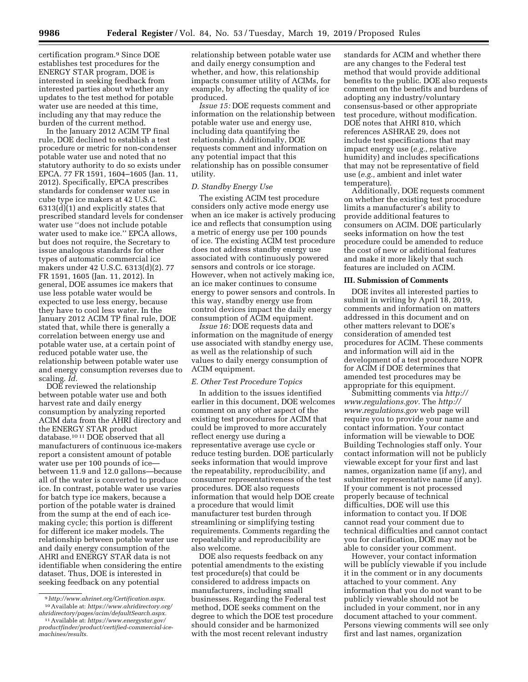certification program.9 Since DOE establishes test procedures for the ENERGY STAR program, DOE is interested in seeking feedback from interested parties about whether any updates to the test method for potable water use are needed at this time, including any that may reduce the burden of the current method.

In the January 2012 ACIM TP final rule, DOE declined to establish a test procedure or metric for non-condenser potable water use and noted that no statutory authority to do so exists under EPCA. 77 FR 1591, 1604–1605 (Jan. 11, 2012). Specifically, EPCA prescribes standards for condenser water use in cube type ice makers at 42 U.S.C. 6313(d)(1) and explicitly states that prescribed standard levels for condenser water use ''does not include potable water used to make ice.'' EPCA allows, but does not require, the Secretary to issue analogous standards for other types of automatic commercial ice makers under 42 U.S.C. 6313(d)(2). 77 FR 1591, 1605 (Jan. 11, 2012). In general, DOE assumes ice makers that use less potable water would be expected to use less energy, because they have to cool less water. In the January 2012 ACIM TP final rule, DOE stated that, while there is generally a correlation between energy use and potable water use, at a certain point of reduced potable water use, the relationship between potable water use and energy consumption reverses due to scaling. *Id.* 

DOE reviewed the relationship between potable water use and both harvest rate and daily energy consumption by analyzing reported ACIM data from the AHRI directory and the ENERGY STAR product database.10 11 DOE observed that all manufacturers of continuous ice-makers report a consistent amount of potable water use per 100 pounds of ice between 11.9 and 12.0 gallons—because all of the water is converted to produce ice. In contrast, potable water use varies for batch type ice makers, because a portion of the potable water is drained from the sump at the end of each icemaking cycle; this portion is different for different ice maker models. The relationship between potable water use and daily energy consumption of the AHRI and ENERGY STAR data is not identifiable when considering the entire dataset. Thus, DOE is interested in seeking feedback on any potential

*Issue 15:* DOE requests comment and information on the relationship between potable water use and energy use, including data quantifying the relationship. Additionally, DOE requests comment and information on any potential impact that this relationship has on possible consumer utility.

#### *D. Standby Energy Use*

The existing ACIM test procedure considers only active mode energy use when an ice maker is actively producing ice and reflects that consumption using a metric of energy use per 100 pounds of ice. The existing ACIM test procedure does not address standby energy use associated with continuously powered sensors and controls or ice storage. However, when not actively making ice, an ice maker continues to consume energy to power sensors and controls. In this way, standby energy use from control devices impact the daily energy consumption of ACIM equipment.

*Issue 16:* DOE requests data and information on the magnitude of energy use associated with standby energy use, as well as the relationship of such values to daily energy consumption of ACIM equipment.

#### *E. Other Test Procedure Topics*

In addition to the issues identified earlier in this document, DOE welcomes comment on any other aspect of the existing test procedures for ACIM that could be improved to more accurately reflect energy use during a representative average use cycle or reduce testing burden. DOE particularly seeks information that would improve the repeatability, reproducibility, and consumer representativeness of the test procedures. DOE also requests information that would help DOE create a procedure that would limit manufacturer test burden through streamlining or simplifying testing requirements. Comments regarding the repeatability and reproducibility are also welcome.

DOE also requests feedback on any potential amendments to the existing test procedure(s) that could be considered to address impacts on manufacturers, including small businesses. Regarding the Federal test method, DOE seeks comment on the degree to which the DOE test procedure should consider and be harmonized with the most recent relevant industry

standards for ACIM and whether there are any changes to the Federal test method that would provide additional benefits to the public. DOE also requests comment on the benefits and burdens of adopting any industry/voluntary consensus-based or other appropriate test procedure, without modification. DOE notes that AHRI 810, which references ASHRAE 29, does not include test specifications that may impact energy use (*e.g.,* relative humidity) and includes specifications that may not be representative of field use (*e.g.,* ambient and inlet water temperature).

Additionally, DOE requests comment on whether the existing test procedure limits a manufacturer's ability to provide additional features to consumers on ACIM. DOE particularly seeks information on how the test procedure could be amended to reduce the cost of new or additional features and make it more likely that such features are included on ACIM.

#### **III. Submission of Comments**

DOE invites all interested parties to submit in writing by April 18, 2019, comments and information on matters addressed in this document and on other matters relevant to DOE's consideration of amended test procedures for ACIM. These comments and information will aid in the development of a test procedure NOPR for ACIM if DOE determines that amended test procedures may be appropriate for this equipment.

Submitting comments via *[http://](http://www.regulations.gov) [www.regulations.gov.](http://www.regulations.gov)* The *[http://](http://www.regulations.gov) [www.regulations.gov](http://www.regulations.gov)* web page will require you to provide your name and contact information. Your contact information will be viewable to DOE Building Technologies staff only. Your contact information will not be publicly viewable except for your first and last names, organization name (if any), and submitter representative name (if any). If your comment is not processed properly because of technical difficulties, DOE will use this information to contact you. If DOE cannot read your comment due to technical difficulties and cannot contact you for clarification, DOE may not be able to consider your comment.

However, your contact information will be publicly viewable if you include it in the comment or in any documents attached to your comment. Any information that you do not want to be publicly viewable should not be included in your comment, nor in any document attached to your comment. Persons viewing comments will see only first and last names, organization

<sup>9</sup>*http://www.ahrinet.org/Certification.aspx*[.](http://www.ahrinet.org/Certification.aspx) 10Available at: *https://www.ahridirectory.org/ [ahridirectory/pages/acim/defaultSearch.aspx.](https://www.ahridirectory.org/ahridirectory/pages/acim/defaultSearch.aspx)* 

<sup>11</sup>Available at: *[https://www.energystar.gov/](https://www.energystar.gov/productfinder/product/certified-commercial-ice-machines/results) [productfinder/product/certified-commercial-ice](https://www.energystar.gov/productfinder/product/certified-commercial-ice-machines/results)[machines/results.](https://www.energystar.gov/productfinder/product/certified-commercial-ice-machines/results)* 

relationship between potable water use and daily energy consumption and whether, and how, this relationship impacts consumer utility of ACIMs, for example, by affecting the quality of ice produced.